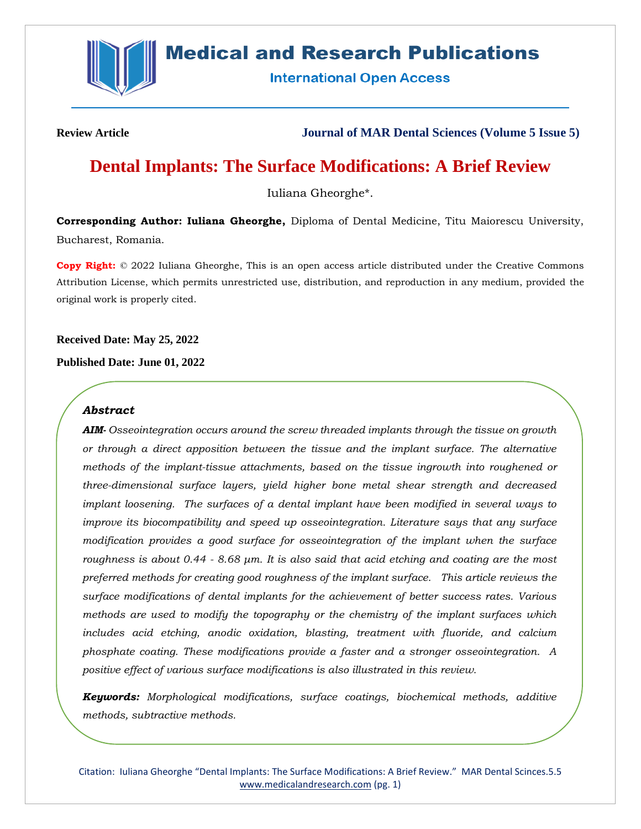

# **Medical and Research Publications**

**International Open Access** 

**Review Article Journal of MAR Dental Sciences (Volume 5 Issue 5)**

# **Dental Implants: The Surface Modifications: A Brief Review**

Iuliana Gheorghe\*.

**Corresponding Author: Iuliana Gheorghe,** Diploma of Dental Medicine, Titu Maiorescu University, Bucharest, Romania.

**Copy Right:** © 2022 Iuliana Gheorghe, This is an open access article distributed under the Creative Commons Attribution License, which permits unrestricted use, distribution, and reproduction in any medium, provided the original work is properly cited.

**Received Date: May 25, 2022**

**Published Date: June 01, 2022**

# *Abstract*

*AIM- Osseointegration occurs around the screw threaded implants through the tissue on growth or through a direct apposition between the tissue and the implant surface. The alternative methods of the implant-tissue attachments, based on the tissue ingrowth into roughened or three-dimensional surface layers, yield higher bone metal shear strength and decreased implant loosening. The surfaces of a dental implant have been modified in several ways to improve its biocompatibility and speed up osseointegration. Literature says that any surface modification provides a good surface for osseointegration of the implant when the surface roughness is about 0.44 - 8.68 μm. It is also said that acid etching and coating are the most preferred methods for creating good roughness of the implant surface. This article reviews the surface modifications of dental implants for the achievement of better success rates. Various methods are used to modify the topography or the chemistry of the implant surfaces which includes acid etching, anodic oxidation, blasting, treatment with fluoride, and calcium phosphate coating. These modifications provide a faster and a stronger osseointegration. A positive effect of various surface modifications is also illustrated in this review.* 

*Keywords: Morphological modifications, surface coatings, biochemical methods, additive methods, subtractive methods.*

Citation: Iuliana Gheorghe "Dental Implants: The Surface Modifications: A Brief Review." MAR Dental Scinces.5.5 [www.medicalandresearch.com](http://www.medicalandresearch.com/) (pg. 1)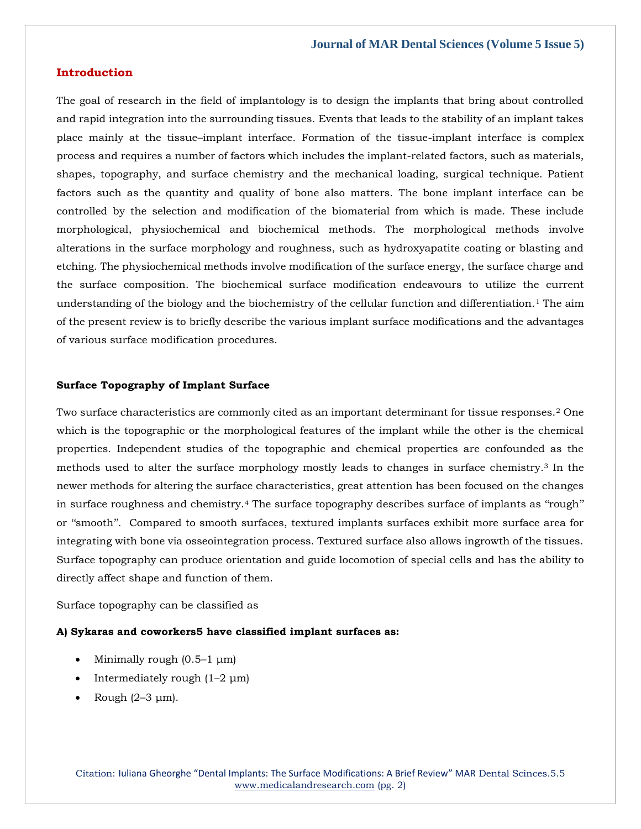# **Introduction**

The goal of research in the field of implantology is to design the implants that bring about controlled and rapid integration into the surrounding tissues. Events that leads to the stability of an implant takes place mainly at the tissue–implant interface. Formation of the tissue-implant interface is complex process and requires a number of factors which includes the implant-related factors, such as materials, shapes, topography, and surface chemistry and the mechanical loading, surgical technique. Patient factors such as the quantity and quality of bone also matters. The bone implant interface can be controlled by the selection and modification of the biomaterial from which is made. These include morphological, physiochemical and biochemical methods. The morphological methods involve alterations in the surface morphology and roughness, such as hydroxyapatite coating or blasting and etching. The physiochemical methods involve modification of the surface energy, the surface charge and the surface composition. The biochemical surface modification endeavours to utilize the current understanding of the biology and the biochemistry of the cellular function and differentiation.<sup>1</sup> The aim of the present review is to briefly describe the various implant surface modifications and the advantages of various surface modification procedures.

#### **Surface Topography of Implant Surface**

Two surface characteristics are commonly cited as an important determinant for tissue responses.<sup>2</sup> One which is the topographic or the morphological features of the implant while the other is the chemical properties. Independent studies of the topographic and chemical properties are confounded as the methods used to alter the surface morphology mostly leads to changes in surface chemistry.<sup>3</sup> In the newer methods for altering the surface characteristics, great attention has been focused on the changes in surface roughness and chemistry.<sup>4</sup> The surface topography describes surface of implants as "rough" or ''smooth''. Compared to smooth surfaces, textured implants surfaces exhibit more surface area for integrating with bone via osseointegration process. Textured surface also allows ingrowth of the tissues. Surface topography can produce orientation and guide locomotion of special cells and has the ability to directly affect shape and function of them.

Surface topography can be classified as

## **A) Sykaras and coworkers5 have classified implant surfaces as:**

- Minimally rough  $(0.5-1 \mu m)$
- Intermediately rough  $(1-2 \mu m)$
- Rough (2–3 μm).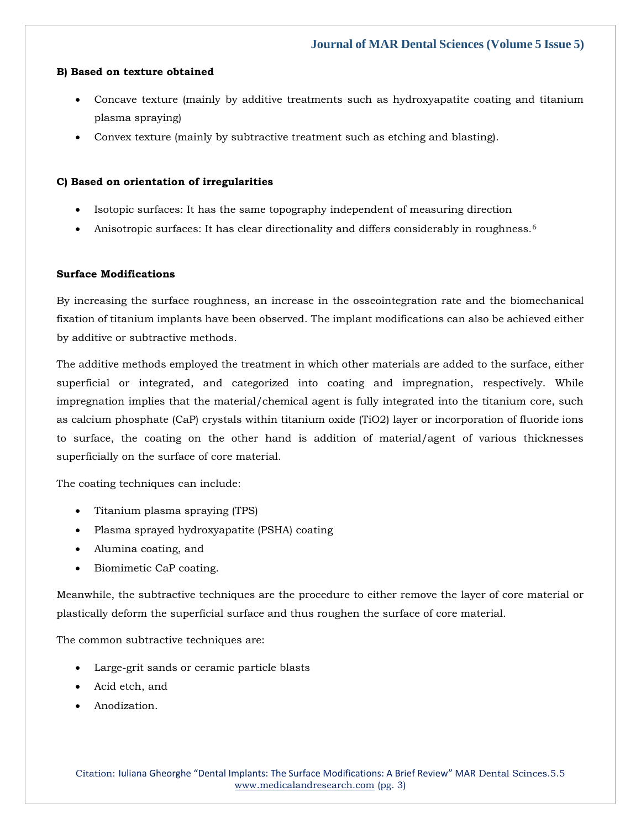## **B) Based on texture obtained**

- Concave texture (mainly by additive treatments such as hydroxyapatite coating and titanium plasma spraying)
- Convex texture (mainly by subtractive treatment such as etching and blasting).

# **C) Based on orientation of irregularities**

- Isotopic surfaces: It has the same topography independent of measuring direction
- Anisotropic surfaces: It has clear directionality and differs considerably in roughness.<sup>6</sup>

# **Surface Modifications**

By increasing the surface roughness, an increase in the osseointegration rate and the biomechanical fixation of titanium implants have been observed. The implant modifications can also be achieved either by additive or subtractive methods.

The additive methods employed the treatment in which other materials are added to the surface, either superficial or integrated, and categorized into coating and impregnation, respectively. While impregnation implies that the material/chemical agent is fully integrated into the titanium core, such as calcium phosphate (CaP) crystals within titanium oxide (TiO2) layer or incorporation of fluoride ions to surface, the coating on the other hand is addition of material/agent of various thicknesses superficially on the surface of core material.

The coating techniques can include:

- Titanium plasma spraying (TPS)
- Plasma sprayed hydroxyapatite (PSHA) coating
- Alumina coating, and
- Biomimetic CaP coating.

Meanwhile, the subtractive techniques are the procedure to either remove the layer of core material or plastically deform the superficial surface and thus roughen the surface of core material.

The common subtractive techniques are:

- Large-grit sands or ceramic particle blasts
- Acid etch, and
- Anodization.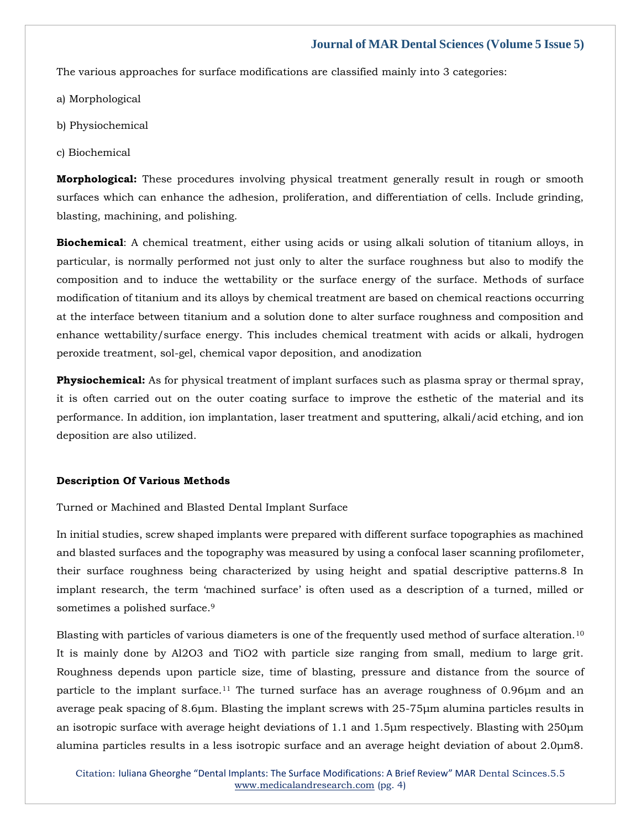The various approaches for surface modifications are classified mainly into 3 categories:

- a) Morphological
- b) Physiochemical
- c) Biochemical

**Morphological:** These procedures involving physical treatment generally result in rough or smooth surfaces which can enhance the adhesion, proliferation, and differentiation of cells. Include grinding, blasting, machining, and polishing.

**Biochemical**: A chemical treatment, either using acids or using alkali solution of titanium alloys, in particular, is normally performed not just only to alter the surface roughness but also to modify the composition and to induce the wettability or the surface energy of the surface. Methods of surface modification of titanium and its alloys by chemical treatment are based on chemical reactions occurring at the interface between titanium and a solution done to alter surface roughness and composition and enhance wettability/surface energy. This includes chemical treatment with acids or alkali, hydrogen peroxide treatment, sol-gel, chemical vapor deposition, and anodization

**Physiochemical:** As for physical treatment of implant surfaces such as plasma spray or thermal spray, it is often carried out on the outer coating surface to improve the esthetic of the material and its performance. In addition, ion implantation, laser treatment and sputtering, alkali/acid etching, and ion deposition are also utilized.

#### **Description Of Various Methods**

Turned or Machined and Blasted Dental Implant Surface

In initial studies, screw shaped implants were prepared with different surface topographies as machined and blasted surfaces and the topography was measured by using a confocal laser scanning profilometer, their surface roughness being characterized by using height and spatial descriptive patterns.8 In implant research, the term 'machined surface' is often used as a description of a turned, milled or sometimes a polished surface.<sup>9</sup>

Blasting with particles of various diameters is one of the frequently used method of surface alteration.<sup>10</sup> It is mainly done by Al2O3 and TiO2 with particle size ranging from small, medium to large grit. Roughness depends upon particle size, time of blasting, pressure and distance from the source of particle to the implant surface.<sup>11</sup> The turned surface has an average roughness of 0.96μm and an average peak spacing of 8.6μm. Blasting the implant screws with 25-75μm alumina particles results in an isotropic surface with average height deviations of 1.1 and 1.5μm respectively. Blasting with 250μm alumina particles results in a less isotropic surface and an average height deviation of about 2.0μm8.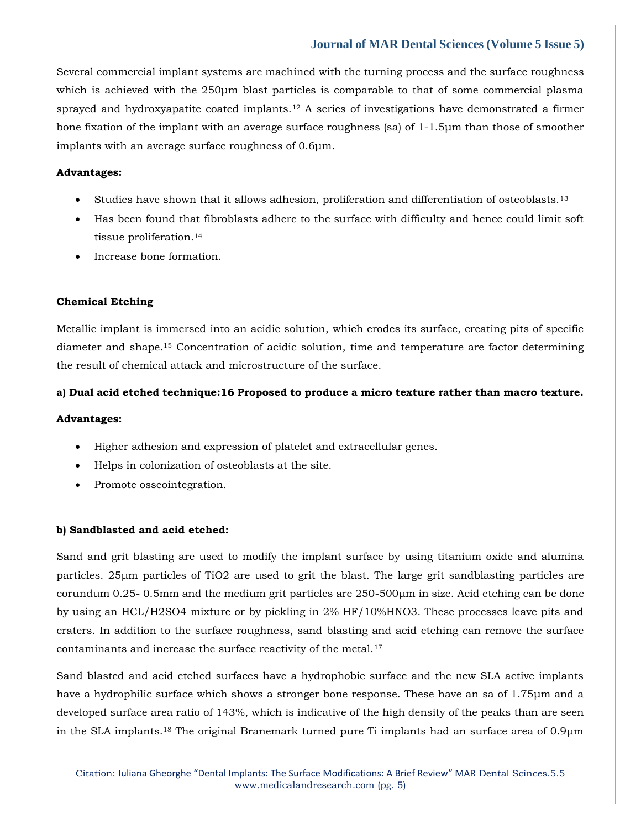Several commercial implant systems are machined with the turning process and the surface roughness which is achieved with the 250μm blast particles is comparable to that of some commercial plasma sprayed and hydroxyapatite coated implants.<sup>12</sup> A series of investigations have demonstrated a firmer bone fixation of the implant with an average surface roughness (sa) of 1-1.5μm than those of smoother implants with an average surface roughness of 0.6μm.

# **Advantages:**

- Studies have shown that it allows adhesion, proliferation and differentiation of osteoblasts.<sup>13</sup>
- Has been found that fibroblasts adhere to the surface with difficulty and hence could limit soft tissue proliferation.<sup>14</sup>
- Increase bone formation.

### **Chemical Etching**

Metallic implant is immersed into an acidic solution, which erodes its surface, creating pits of specific diameter and shape.<sup>15</sup> Concentration of acidic solution, time and temperature are factor determining the result of chemical attack and microstructure of the surface.

#### **a) Dual acid etched technique:16 Proposed to produce a micro texture rather than macro texture.**

#### **Advantages:**

- Higher adhesion and expression of platelet and extracellular genes.
- Helps in colonization of osteoblasts at the site.
- Promote osseointegration.

### **b) Sandblasted and acid etched:**

Sand and grit blasting are used to modify the implant surface by using titanium oxide and alumina particles. 25μm particles of TiO2 are used to grit the blast. The large grit sandblasting particles are corundum 0.25- 0.5mm and the medium grit particles are 250-500μm in size. Acid etching can be done by using an HCL/H2SO4 mixture or by pickling in 2% HF/10%HNO3. These processes leave pits and craters. In addition to the surface roughness, sand blasting and acid etching can remove the surface contaminants and increase the surface reactivity of the metal.<sup>17</sup>

Sand blasted and acid etched surfaces have a hydrophobic surface and the new SLA active implants have a hydrophilic surface which shows a stronger bone response. These have an sa of 1.75μm and a developed surface area ratio of 143%, which is indicative of the high density of the peaks than are seen in the SLA implants.<sup>18</sup> The original Branemark turned pure Ti implants had an surface area of 0.9μm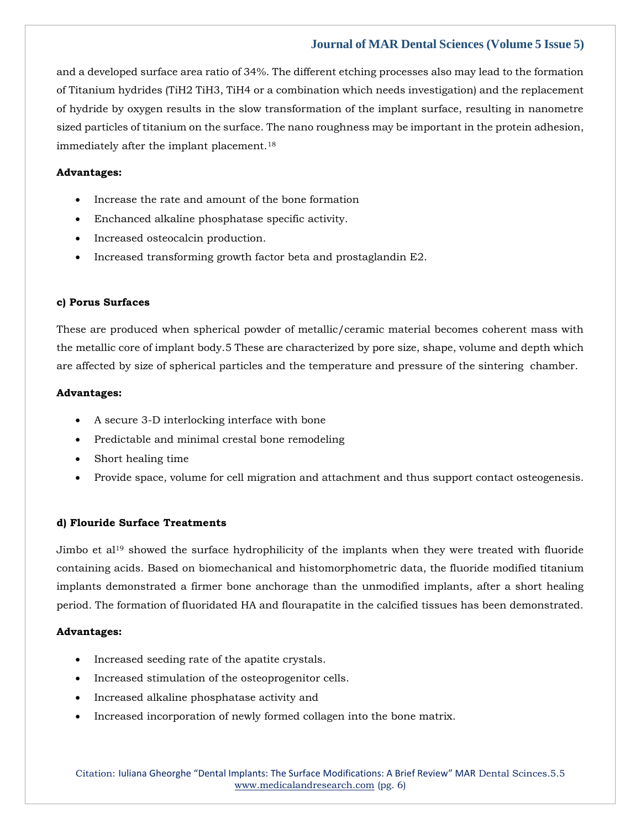and a developed surface area ratio of 34%. The different etching processes also may lead to the formation of Titanium hydrides (TiH2 TiH3, TiH4 or a combination which needs investigation) and the replacement of hydride by oxygen results in the slow transformation of the implant surface, resulting in nanometre sized particles of titanium on the surface. The nano roughness may be important in the protein adhesion, immediately after the implant placement.<sup>18</sup>

# **Advantages:**

- Increase the rate and amount of the bone formation
- Enchanced alkaline phosphatase specific activity.
- Increased osteocalcin production.
- Increased transforming growth factor beta and prostaglandin E2.

#### **c) Porus Surfaces**

These are produced when spherical powder of metallic/ceramic material becomes coherent mass with the metallic core of implant body.5 These are characterized by pore size, shape, volume and depth which are affected by size of spherical particles and the temperature and pressure of the sintering chamber.

#### **Advantages:**

- A secure 3-D interlocking interface with bone
- Predictable and minimal crestal bone remodeling
- Short healing time
- Provide space, volume for cell migration and attachment and thus support contact osteogenesis.

### **d) Flouride Surface Treatments**

Jimbo et al<sup>19</sup> showed the surface hydrophilicity of the implants when they were treated with fluoride containing acids. Based on biomechanical and histomorphometric data, the fluoride modified titanium implants demonstrated a firmer bone anchorage than the unmodified implants, after a short healing period. The formation of fluoridated HA and flourapatite in the calcified tissues has been demonstrated.

### **Advantages:**

- Increased seeding rate of the apatite crystals.
- Increased stimulation of the osteoprogenitor cells.
- Increased alkaline phosphatase activity and
- Increased incorporation of newly formed collagen into the bone matrix.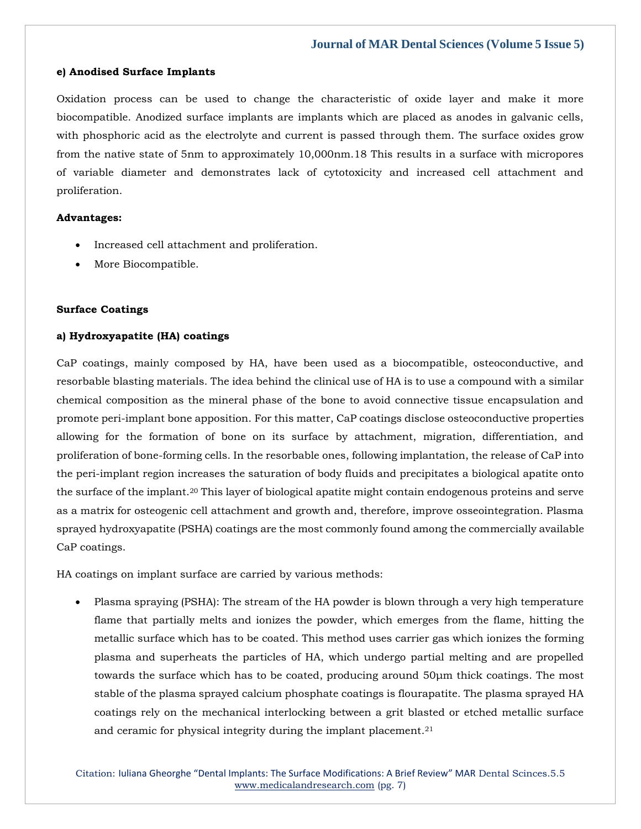## **e) Anodised Surface Implants**

Oxidation process can be used to change the characteristic of oxide layer and make it more biocompatible. Anodized surface implants are implants which are placed as anodes in galvanic cells, with phosphoric acid as the electrolyte and current is passed through them. The surface oxides grow from the native state of 5nm to approximately 10,000nm.18 This results in a surface with micropores of variable diameter and demonstrates lack of cytotoxicity and increased cell attachment and proliferation.

### **Advantages:**

- Increased cell attachment and proliferation.
- More Biocompatible.

### **Surface Coatings**

### **a) Hydroxyapatite (HA) coatings**

CaP coatings, mainly composed by HA, have been used as a biocompatible, osteoconductive, and resorbable blasting materials. The idea behind the clinical use of HA is to use a compound with a similar chemical composition as the mineral phase of the bone to avoid connective tissue encapsulation and promote peri-implant bone apposition. For this matter, CaP coatings disclose osteoconductive properties allowing for the formation of bone on its surface by attachment, migration, differentiation, and proliferation of bone-forming cells. In the resorbable ones, following implantation, the release of CaP into the peri-implant region increases the saturation of body fluids and precipitates a biological apatite onto the surface of the implant.<sup>20</sup> This layer of biological apatite might contain endogenous proteins and serve as a matrix for osteogenic cell attachment and growth and, therefore, improve osseointegration. Plasma sprayed hydroxyapatite (PSHA) coatings are the most commonly found among the commercially available CaP coatings.

HA coatings on implant surface are carried by various methods:

• Plasma spraying (PSHA): The stream of the HA powder is blown through a very high temperature flame that partially melts and ionizes the powder, which emerges from the flame, hitting the metallic surface which has to be coated. This method uses carrier gas which ionizes the forming plasma and superheats the particles of HA, which undergo partial melting and are propelled towards the surface which has to be coated, producing around 50μm thick coatings. The most stable of the plasma sprayed calcium phosphate coatings is flourapatite. The plasma sprayed HA coatings rely on the mechanical interlocking between a grit blasted or etched metallic surface and ceramic for physical integrity during the implant placement.<sup>21</sup>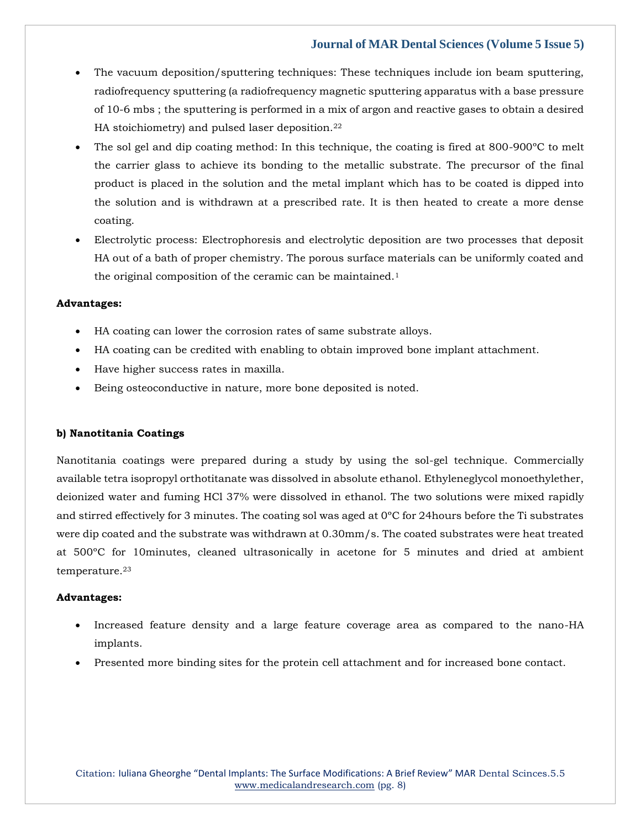- The vacuum deposition/sputtering techniques: These techniques include ion beam sputtering, radiofrequency sputtering (a radiofrequency magnetic sputtering apparatus with a base pressure of 10-6 mbs ; the sputtering is performed in a mix of argon and reactive gases to obtain a desired HA stoichiometry) and pulsed laser deposition.<sup>22</sup>
- The sol gel and dip coating method: In this technique, the coating is fired at 800-900ºC to melt the carrier glass to achieve its bonding to the metallic substrate. The precursor of the final product is placed in the solution and the metal implant which has to be coated is dipped into the solution and is withdrawn at a prescribed rate. It is then heated to create a more dense coating.
- Electrolytic process: Electrophoresis and electrolytic deposition are two processes that deposit HA out of a bath of proper chemistry. The porous surface materials can be uniformly coated and the original composition of the ceramic can be maintained.<sup>1</sup>

#### **Advantages:**

- HA coating can lower the corrosion rates of same substrate alloys.
- HA coating can be credited with enabling to obtain improved bone implant attachment.
- Have higher success rates in maxilla.
- Being osteoconductive in nature, more bone deposited is noted.

### **b) Nanotitania Coatings**

Nanotitania coatings were prepared during a study by using the sol-gel technique. Commercially available tetra isopropyl orthotitanate was dissolved in absolute ethanol. Ethyleneglycol monoethylether, deionized water and fuming HCl 37% were dissolved in ethanol. The two solutions were mixed rapidly and stirred effectively for 3 minutes. The coating sol was aged at 0ºC for 24hours before the Ti substrates were dip coated and the substrate was withdrawn at 0.30mm/s. The coated substrates were heat treated at 500ºC for 10minutes, cleaned ultrasonically in acetone for 5 minutes and dried at ambient temperature.<sup>23</sup>

### **Advantages:**

- Increased feature density and a large feature coverage area as compared to the nano-HA implants.
- Presented more binding sites for the protein cell attachment and for increased bone contact.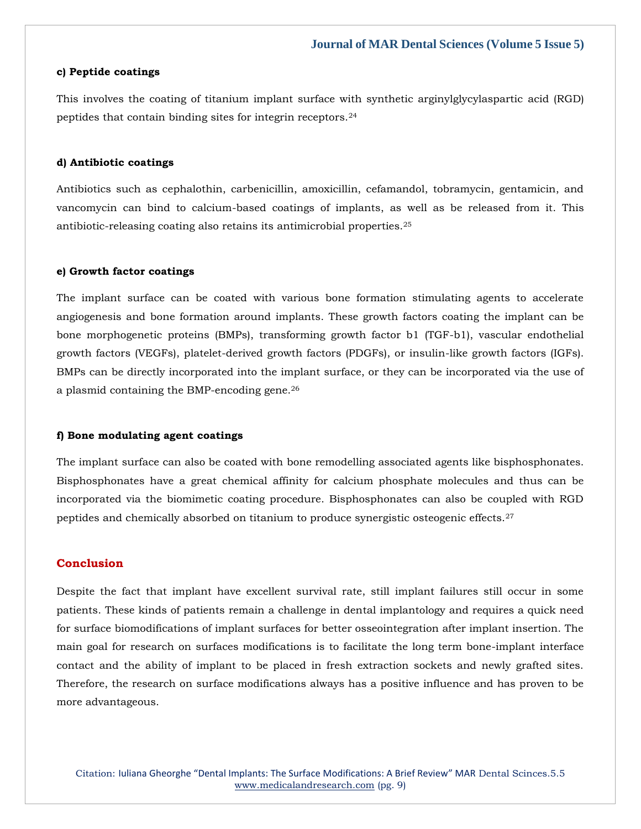#### **c) Peptide coatings**

This involves the coating of titanium implant surface with synthetic arginylglycylaspartic acid (RGD) peptides that contain binding sites for integrin receptors.<sup>24</sup>

#### **d) Antibiotic coatings**

Antibiotics such as cephalothin, carbenicillin, amoxicillin, cefamandol, tobramycin, gentamicin, and vancomycin can bind to calcium-based coatings of implants, as well as be released from it. This antibiotic-releasing coating also retains its antimicrobial properties.<sup>25</sup>

#### **e) Growth factor coatings**

The implant surface can be coated with various bone formation stimulating agents to accelerate angiogenesis and bone formation around implants. These growth factors coating the implant can be bone morphogenetic proteins (BMPs), transforming growth factor b1 (TGF-b1), vascular endothelial growth factors (VEGFs), platelet-derived growth factors (PDGFs), or insulin-like growth factors (IGFs). BMPs can be directly incorporated into the implant surface, or they can be incorporated via the use of a plasmid containing the BMP-encoding gene.<sup>26</sup>

#### **f) Bone modulating agent coatings**

The implant surface can also be coated with bone remodelling associated agents like bisphosphonates. Bisphosphonates have a great chemical affinity for calcium phosphate molecules and thus can be incorporated via the biomimetic coating procedure. Bisphosphonates can also be coupled with RGD peptides and chemically absorbed on titanium to produce synergistic osteogenic effects.<sup>27</sup>

# **Conclusion**

Despite the fact that implant have excellent survival rate, still implant failures still occur in some patients. These kinds of patients remain a challenge in dental implantology and requires a quick need for surface biomodifications of implant surfaces for better osseointegration after implant insertion. The main goal for research on surfaces modifications is to facilitate the long term bone-implant interface contact and the ability of implant to be placed in fresh extraction sockets and newly grafted sites. Therefore, the research on surface modifications always has a positive influence and has proven to be more advantageous.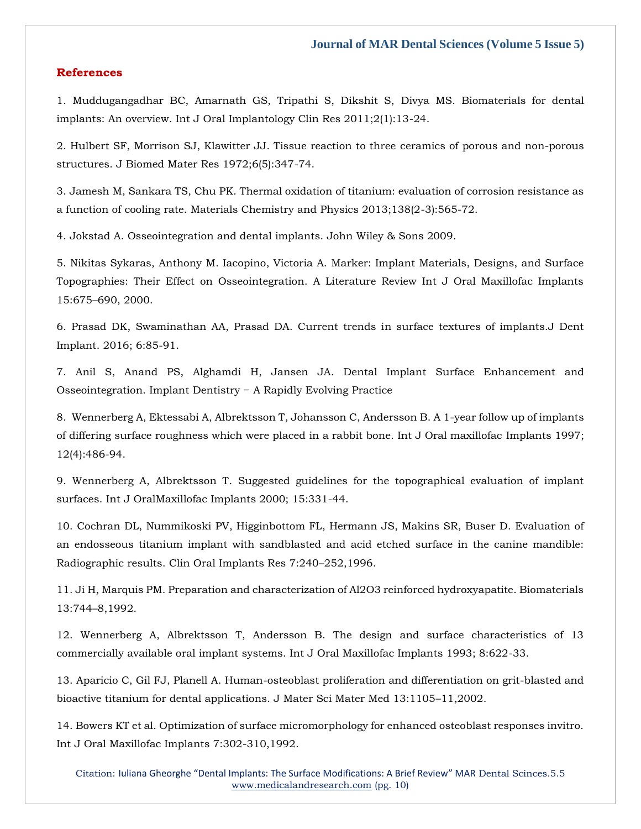#### **References**

[1. Muddugangadhar BC, Amarnath GS, Tripathi S, Dikshit S, Divya MS. Biomaterials for dental](https://www.google.com/search?q=Biomaterials+for+dental+implants%3A+An+overview.&oq=Biomaterials+for+dental+implants%3A+An+overview.&aqs=chrome..69i57.532j0j7&sourceid=chrome&ie=UTF-8)  [implants: An overview. Int J Oral Implantology Clin Res 2011;2\(1\):13-24.](https://www.google.com/search?q=Biomaterials+for+dental+implants%3A+An+overview.&oq=Biomaterials+for+dental+implants%3A+An+overview.&aqs=chrome..69i57.532j0j7&sourceid=chrome&ie=UTF-8)

[2. Hulbert SF, Morrison SJ, Klawitter JJ. Tissue reaction to three ceramics of porous and non-porous](https://www.google.com/search?q=Tissue+reaction+to+three+ceramics+of+porous+and+non-porous+structures.+&sxsrf=ALiCzsag4qaEL68X-aNxSlmJvV7jTPah6g%3A1653719588733&ei=JMKRYsGwLKjFz7sPovG7yAs&ved=0ahUKEwjB0pPFyYH4AhWo4nMBHaL4DrkQ4dUDCA4&oq=Tissue+reaction+to+three+ceramics+of+porous+and+non-porous+structures.+&gs_lcp=Cgdnd3Mtd2l6EAw6BwgjEOoCECdKBAhBGABKBAhGGABQxAFYxAFgpgVoAXABeACAAXiIAXiSAQMwLjGYAQCgAQGgAQKwAQrAAQE&sclient=gws-wiz)  [structures. J Biomed Mater Res 1972;6\(5\):347-74.](https://www.google.com/search?q=Tissue+reaction+to+three+ceramics+of+porous+and+non-porous+structures.+&sxsrf=ALiCzsag4qaEL68X-aNxSlmJvV7jTPah6g%3A1653719588733&ei=JMKRYsGwLKjFz7sPovG7yAs&ved=0ahUKEwjB0pPFyYH4AhWo4nMBHaL4DrkQ4dUDCA4&oq=Tissue+reaction+to+three+ceramics+of+porous+and+non-porous+structures.+&gs_lcp=Cgdnd3Mtd2l6EAw6BwgjEOoCECdKBAhBGABKBAhGGABQxAFYxAFgpgVoAXABeACAAXiIAXiSAQMwLjGYAQCgAQGgAQKwAQrAAQE&sclient=gws-wiz)

[3. Jamesh M, Sankara TS, Chu PK. Thermal oxidation of titanium: evaluation of corrosion resistance as](https://www.google.com/search?q=Thermal+oxidation+of+titanium%3A+evaluation+of+corrosion+resistance+as+a+function+of+cooling+rate.+&sxsrf=ALiCzsaMQhgZwnCJQoKgert9VIgRPk9Vbw%3A1653719610851&ei=OsKRYpnHM7O_3LUPy9aY4Aw&ved=0ahUKEwiZzNnPyYH4AhWzH7cAHUsrBswQ4dUDCA4&oq=Thermal+oxidation+of+titanium%3A+evaluation+of+corrosion+resistance+as+a+function+of+cooling+rate.+&gs_lcp=Cgdnd3Mtd2l6EAw6BwgjEOoCECdKBAhBGABKBAhGGABQhwJYhwJgyQVoAXAAeACAAXiIAXiSAQMwLjGYAQCgAQGgAQKwAQrAAQE&sclient=gws-wiz)  [a function of cooling rate. Materials Chemistry and Physics 2013;138\(2-3\):565-72.](https://www.google.com/search?q=Thermal+oxidation+of+titanium%3A+evaluation+of+corrosion+resistance+as+a+function+of+cooling+rate.+&sxsrf=ALiCzsaMQhgZwnCJQoKgert9VIgRPk9Vbw%3A1653719610851&ei=OsKRYpnHM7O_3LUPy9aY4Aw&ved=0ahUKEwiZzNnPyYH4AhWzH7cAHUsrBswQ4dUDCA4&oq=Thermal+oxidation+of+titanium%3A+evaluation+of+corrosion+resistance+as+a+function+of+cooling+rate.+&gs_lcp=Cgdnd3Mtd2l6EAw6BwgjEOoCECdKBAhBGABKBAhGGABQhwJYhwJgyQVoAXAAeACAAXiIAXiSAQMwLjGYAQCgAQGgAQKwAQrAAQE&sclient=gws-wiz)

[4. Jokstad A. Osseointegration and dental implants. John Wiley & Sons 2009.](https://www.google.com/search?q=Osseointegration+and+dental+implants&sxsrf=ALiCzsaS_iQJwsXJUtAP6PPHVkLhPeUqQw%3A1653719627295&ei=S8KRYpvOEYbfz7sP6s-r4Ac&ved=0ahUKEwjbn8XXyYH4AhWG73MBHernCnwQ4dUDCA4&oq=Osseointegration+and+dental+implants&gs_lcp=Cgdnd3Mtd2l6EAwyBQguEIAEMggIABAeEA8QFjIGCAAQHhAWMgYIABAeEBYyBggAEB4QFjIGCAAQHhAWMgYIABAeEBYyBggAEB4QFjIGCAAQHhAWMggIABAeEA8QFjoHCCMQ6gIQJ0oECEEYAEoECEYYAFD7Alj7AmCCBmgBcAB4AIABaogBapIBAzAuMZgBAKABAaABArABCsABAQ&sclient=gws-wiz)

[5. Nikitas Sykaras, Anthony M. Iacopino, Victoria A. Marker: Implant Materials, Designs, and Surface](https://www.google.com/search?q=Marker%3A+Implant+Materials%2C+Designs%2C+and+Surface+Topographies%3A+Their+Effect+on+Osseointegration.+&sxsrf=ALiCzsa1wDDL0r33zc05p62kF1M4aQhOrQ%3A1653719647485&ei=X8KRYpqbHe_Xz7sP2p2rsAE&ved=0ahUKEwjaxpXhyYH4AhXv63MBHdrOChYQ4dUDCA4&oq=Marker%3A+Implant+Materials%2C+Designs%2C+and+Surface+Topographies%3A+Their+Effect+on+Osseointegration.+&gs_lcp=Cgdnd3Mtd2l6EAw6BwgjEOoCECdKBAhBGABKBAhGGABQhwFYhwFg2gRoAXABeACAAWGIAWGSAQExmAEAoAEBoAECsAEKwAEB&sclient=gws-wiz)  [Topographies: Their Effect on Osseointegration. A Literature Review Int J Oral Maxillofac Implants](https://www.google.com/search?q=Marker%3A+Implant+Materials%2C+Designs%2C+and+Surface+Topographies%3A+Their+Effect+on+Osseointegration.+&sxsrf=ALiCzsa1wDDL0r33zc05p62kF1M4aQhOrQ%3A1653719647485&ei=X8KRYpqbHe_Xz7sP2p2rsAE&ved=0ahUKEwjaxpXhyYH4AhXv63MBHdrOChYQ4dUDCA4&oq=Marker%3A+Implant+Materials%2C+Designs%2C+and+Surface+Topographies%3A+Their+Effect+on+Osseointegration.+&gs_lcp=Cgdnd3Mtd2l6EAw6BwgjEOoCECdKBAhBGABKBAhGGABQhwFYhwFg2gRoAXABeACAAWGIAWGSAQExmAEAoAEBoAECsAEKwAEB&sclient=gws-wiz)  15:675–[690, 2000.](https://www.google.com/search?q=Marker%3A+Implant+Materials%2C+Designs%2C+and+Surface+Topographies%3A+Their+Effect+on+Osseointegration.+&sxsrf=ALiCzsa1wDDL0r33zc05p62kF1M4aQhOrQ%3A1653719647485&ei=X8KRYpqbHe_Xz7sP2p2rsAE&ved=0ahUKEwjaxpXhyYH4AhXv63MBHdrOChYQ4dUDCA4&oq=Marker%3A+Implant+Materials%2C+Designs%2C+and+Surface+Topographies%3A+Their+Effect+on+Osseointegration.+&gs_lcp=Cgdnd3Mtd2l6EAw6BwgjEOoCECdKBAhBGABKBAhGGABQhwFYhwFg2gRoAXABeACAAWGIAWGSAQExmAEAoAEBoAECsAEKwAEB&sclient=gws-wiz)

[6. Prasad DK, Swaminathan AA, Prasad DA. Current trends in surface textures of implants.J Dent](https://www.google.com/search?q=Current+trends+in+surface+textures+of+implants.&sxsrf=ALiCzsbBziSiBSKPvUxWfQogCmkFINErOg%3A1653719680835&ei=gMKRYoLLMv_hz7sPnPKPyAc&ved=0ahUKEwiCi4nxyYH4AhX_8HMBHRz5A3kQ4dUDCA4&oq=Current+trends+in+surface+textures+of+implants.&gs_lcp=Cgdnd3Mtd2l6EAwyBwghEAoQoAEyBwghEAoQoAEyBwghEAoQoAE6BwgjEOoCECdKBAhBGABKBAhGGABQ0AFY0AFg1AVoAXABeACAAaIBiAGiAZIBAzAuMZgBAKABAaABArABCsABAQ&sclient=gws-wiz)  [Implant. 2016; 6:85-91.](https://www.google.com/search?q=Current+trends+in+surface+textures+of+implants.&sxsrf=ALiCzsbBziSiBSKPvUxWfQogCmkFINErOg%3A1653719680835&ei=gMKRYoLLMv_hz7sPnPKPyAc&ved=0ahUKEwiCi4nxyYH4AhX_8HMBHRz5A3kQ4dUDCA4&oq=Current+trends+in+surface+textures+of+implants.&gs_lcp=Cgdnd3Mtd2l6EAwyBwghEAoQoAEyBwghEAoQoAEyBwghEAoQoAE6BwgjEOoCECdKBAhBGABKBAhGGABQ0AFY0AFg1AVoAXABeACAAaIBiAGiAZIBAzAuMZgBAKABAaABArABCsABAQ&sclient=gws-wiz)

[7. Anil S, Anand PS, Alghamdi H, Jansen JA. Dental Implant Surface Enhancement and](https://www.google.com/search?q=Dental+Implant+Surface+Enhancement+and+Osseointegration.+Implant+Dentistry+%E2%88%92+A+Rapidly+Evolving+Practice+&sxsrf=ALiCzsZm0xjeh_eZqDYkLrJs6sWZGKOWQw%3A1653719697006&ei=kMKRYrWDPZTDz7sP9O2C4AU&ved=0ahUKEwi1i-T4yYH4AhWU4XMBHfS2AFwQ4dUDCA4&oq=Dental+Implant+Surface+Enhancement+and+Osseointegration.+Implant+Dentistry+%E2%88%92+A+Rapidly+Evolving+Practice+&gs_lcp=Cgdnd3Mtd2l6EAwyBwgjEOoCECcyBwgjEOoCECcyBwgjEOoCECcyBwgjEOoCECcyBwgjEOoCECcyBwgjEOoCECcyBwgjEOoCECcyBwgjEOoCECcyBwgjEOoCECcyBwgjEOoCECdKBAhBGABKBAhGGABQ9wFY9wFglwhoAXAAeACAAQCIAQCSAQCYAQCgAQGgAQKwAQrAAQE&sclient=gws-wiz)  [Osseointegration. Implant Dentistry − A Rapidly Evolving Practice](https://www.google.com/search?q=Dental+Implant+Surface+Enhancement+and+Osseointegration.+Implant+Dentistry+%E2%88%92+A+Rapidly+Evolving+Practice+&sxsrf=ALiCzsZm0xjeh_eZqDYkLrJs6sWZGKOWQw%3A1653719697006&ei=kMKRYrWDPZTDz7sP9O2C4AU&ved=0ahUKEwi1i-T4yYH4AhWU4XMBHfS2AFwQ4dUDCA4&oq=Dental+Implant+Surface+Enhancement+and+Osseointegration.+Implant+Dentistry+%E2%88%92+A+Rapidly+Evolving+Practice+&gs_lcp=Cgdnd3Mtd2l6EAwyBwgjEOoCECcyBwgjEOoCECcyBwgjEOoCECcyBwgjEOoCECcyBwgjEOoCECcyBwgjEOoCECcyBwgjEOoCECcyBwgjEOoCECcyBwgjEOoCECcyBwgjEOoCECdKBAhBGABKBAhGGABQ9wFY9wFglwhoAXAAeACAAQCIAQCSAQCYAQCgAQGgAQKwAQrAAQE&sclient=gws-wiz)

[8. Wennerberg A, Ektessabi A, Albrektsson T, Johansson C, Andersson B. A 1-year follow up of implants](https://www.google.com/search?q=A+1-year+follow+up+of+implants+of+differing+surface+roughness+which+were+placed+in+a+rabbit+bone&sxsrf=ALiCzsYHriYCdBgplCA7AOX8H302pmH3lw%3A1653719714443&ei=osKRYuLGGqDez7sPwoq0kAE&ved=0ahUKEwjin4yByoH4AhUg73MBHUIFDRIQ4dUDCA4&oq=A+1-year+follow+up+of+implants+of+differing+surface+roughness+which+were+placed+in+a+rabbit+bone&gs_lcp=Cgdnd3Mtd2l6EAw6BwgjEOoCECdKBAhBGABKBAhGGABQogJYogJgvQVoAXABeACAAWiIAWiSAQMwLjGYAQCgAQGgAQKwAQrAAQE&sclient=gws-wiz)  [of differing surface roughness which were placed in a rabbit bone. Int J Oral maxillofac](https://www.google.com/search?q=A+1-year+follow+up+of+implants+of+differing+surface+roughness+which+were+placed+in+a+rabbit+bone&sxsrf=ALiCzsYHriYCdBgplCA7AOX8H302pmH3lw%3A1653719714443&ei=osKRYuLGGqDez7sPwoq0kAE&ved=0ahUKEwjin4yByoH4AhUg73MBHUIFDRIQ4dUDCA4&oq=A+1-year+follow+up+of+implants+of+differing+surface+roughness+which+were+placed+in+a+rabbit+bone&gs_lcp=Cgdnd3Mtd2l6EAw6BwgjEOoCECdKBAhBGABKBAhGGABQogJYogJgvQVoAXABeACAAWiIAWiSAQMwLjGYAQCgAQGgAQKwAQrAAQE&sclient=gws-wiz) Implants 1997; [12\(4\):486-94.](https://www.google.com/search?q=A+1-year+follow+up+of+implants+of+differing+surface+roughness+which+were+placed+in+a+rabbit+bone&sxsrf=ALiCzsYHriYCdBgplCA7AOX8H302pmH3lw%3A1653719714443&ei=osKRYuLGGqDez7sPwoq0kAE&ved=0ahUKEwjin4yByoH4AhUg73MBHUIFDRIQ4dUDCA4&oq=A+1-year+follow+up+of+implants+of+differing+surface+roughness+which+were+placed+in+a+rabbit+bone&gs_lcp=Cgdnd3Mtd2l6EAw6BwgjEOoCECdKBAhBGABKBAhGGABQogJYogJgvQVoAXABeACAAWiIAWiSAQMwLjGYAQCgAQGgAQKwAQrAAQE&sclient=gws-wiz)

[9. Wennerberg A, Albrektsson T. Suggested guidelines for the topographical evaluation of implant](https://www.google.com/search?q=Suggested+guidelines+for+the+topographical+evaluation+of+implant+surfaces.&sxsrf=ALiCzsaaJxgMOmI7g0kv1YoBUH960tm1nQ%3A1653719741489&ei=vcKRYvGnHcip3LUPgeyA0Ak&ved=0ahUKEwix-v6NyoH4AhXIFLcAHQE2AJoQ4dUDCA4&oq=Suggested+guidelines+for+the+topographical+evaluation+of+implant+surfaces.&gs_lcp=Cgdnd3Mtd2l6EAwyBggAEB4QFjoHCCMQ6gIQJ0oECEEYAEoECEYYAFD1BFj1BGDXDGgBcAB4AIABdIgBdJIBAzAuMZgBAKABAaABArABCsABAQ&sclient=gws-wiz)  [surfaces. Int J OralMaxillofac Implants 2000; 15:331-44.](https://www.google.com/search?q=Suggested+guidelines+for+the+topographical+evaluation+of+implant+surfaces.&sxsrf=ALiCzsaaJxgMOmI7g0kv1YoBUH960tm1nQ%3A1653719741489&ei=vcKRYvGnHcip3LUPgeyA0Ak&ved=0ahUKEwix-v6NyoH4AhXIFLcAHQE2AJoQ4dUDCA4&oq=Suggested+guidelines+for+the+topographical+evaluation+of+implant+surfaces.&gs_lcp=Cgdnd3Mtd2l6EAwyBggAEB4QFjoHCCMQ6gIQJ0oECEEYAEoECEYYAFD1BFj1BGDXDGgBcAB4AIABdIgBdJIBAzAuMZgBAKABAaABArABCsABAQ&sclient=gws-wiz)

[10. Cochran DL, Nummikoski PV, Higginbottom FL, Hermann JS, Makins SR, Buser D. Evaluation of](https://www.google.com/search?q=Evaluation+of+an+endosseous+titanium+implant+with+sandblasted+and+acid+etched+surface+in+the+canine+mandible%3A+Radiographic+results&sxsrf=ALiCzsbSDwkB4qbITJ-8BmXHmNhaGCFmrA%3A1653720149662&ei=VcSRYqP-J_eh4t4PiaCm6Ao&ved=0ahUKEwjj_M_Qy4H4AhX3kNgFHQmQCa0Q4dUDCA4&oq=Evaluation+of+an+endosseous+titanium+implant+with+sandblasted+and+acid+etched+surface+in+the+canine+mandible%3A+Radiographic+results&gs_lcp=Cgdnd3Mtd2l6EAwyBwgjEOoCECcyBwgjEOoCECcyBwgjEOoCECcyBwgjEOoCECcyBwgjEOoCECcyBwgjEOoCECcyBwgjEOoCECcyBwgjEOoCECcyBwgjEOoCECcyBwgjEOoCECdKBAhBGABKBAhGGABQmwNYmwNgtQloAXAAeACAAQCIAQCSAQCYAQCgAQGgAQKwAQrAAQE&sclient=gws-wiz)  [an endosseous titanium implant with sandblasted and acid etched surface in the canine mandible:](https://www.google.com/search?q=Evaluation+of+an+endosseous+titanium+implant+with+sandblasted+and+acid+etched+surface+in+the+canine+mandible%3A+Radiographic+results&sxsrf=ALiCzsbSDwkB4qbITJ-8BmXHmNhaGCFmrA%3A1653720149662&ei=VcSRYqP-J_eh4t4PiaCm6Ao&ved=0ahUKEwjj_M_Qy4H4AhX3kNgFHQmQCa0Q4dUDCA4&oq=Evaluation+of+an+endosseous+titanium+implant+with+sandblasted+and+acid+etched+surface+in+the+canine+mandible%3A+Radiographic+results&gs_lcp=Cgdnd3Mtd2l6EAwyBwgjEOoCECcyBwgjEOoCECcyBwgjEOoCECcyBwgjEOoCECcyBwgjEOoCECcyBwgjEOoCECcyBwgjEOoCECcyBwgjEOoCECcyBwgjEOoCECcyBwgjEOoCECdKBAhBGABKBAhGGABQmwNYmwNgtQloAXAAeACAAQCIAQCSAQCYAQCgAQGgAQKwAQrAAQE&sclient=gws-wiz)  [Radiographic results. Clin Oral Implants Res 7:240](https://www.google.com/search?q=Evaluation+of+an+endosseous+titanium+implant+with+sandblasted+and+acid+etched+surface+in+the+canine+mandible%3A+Radiographic+results&sxsrf=ALiCzsbSDwkB4qbITJ-8BmXHmNhaGCFmrA%3A1653720149662&ei=VcSRYqP-J_eh4t4PiaCm6Ao&ved=0ahUKEwjj_M_Qy4H4AhX3kNgFHQmQCa0Q4dUDCA4&oq=Evaluation+of+an+endosseous+titanium+implant+with+sandblasted+and+acid+etched+surface+in+the+canine+mandible%3A+Radiographic+results&gs_lcp=Cgdnd3Mtd2l6EAwyBwgjEOoCECcyBwgjEOoCECcyBwgjEOoCECcyBwgjEOoCECcyBwgjEOoCECcyBwgjEOoCECcyBwgjEOoCECcyBwgjEOoCECcyBwgjEOoCECcyBwgjEOoCECdKBAhBGABKBAhGGABQmwNYmwNgtQloAXAAeACAAQCIAQCSAQCYAQCgAQGgAQKwAQrAAQE&sclient=gws-wiz)–252,1996.

[11. Ji H, Marquis PM. Preparation and characterization of Al2O3 reinforced hydroxyapatite. Biomaterials](https://www.google.com/search?q=Preparation+and+characterization+of+Al2O3+reinforced+hydroxyapatite&sxsrf=ALiCzsZ8q6Xhb9NsqVtLXz7fo2Q_JuB0QA%3A1653720232207&ei=qMSRYs2eDIPbz7sP6rGf2Ak&ved=0ahUKEwjNkv73y4H4AhWD7XMBHerYB5sQ4dUDCA4&oq=Preparation+and+characterization+of+Al2O3+reinforced+hydroxyapatite&gs_lcp=Cgdnd3Mtd2l6EAwyBwgjEOoCECcyBwgjEOoCECcyBwgjEOoCECcyBwgjEOoCECcyBwgjEOoCECcyBwgjEOoCECcyBwgjEOoCECcyBwgjEOoCECcyBwgjEOoCECcyBwgjEOoCECc6CggjEK4CELADECdKBAhBGAFKBAhGGABQpgVYpgVg9ghoAnAAeACAAZYDiAGWA5IBAzQtMZgBAKABAaABArABCsgBAcABAQ&sclient=gws-wiz)  13:744–[8,1992.](https://www.google.com/search?q=Preparation+and+characterization+of+Al2O3+reinforced+hydroxyapatite&sxsrf=ALiCzsZ8q6Xhb9NsqVtLXz7fo2Q_JuB0QA%3A1653720232207&ei=qMSRYs2eDIPbz7sP6rGf2Ak&ved=0ahUKEwjNkv73y4H4AhWD7XMBHerYB5sQ4dUDCA4&oq=Preparation+and+characterization+of+Al2O3+reinforced+hydroxyapatite&gs_lcp=Cgdnd3Mtd2l6EAwyBwgjEOoCECcyBwgjEOoCECcyBwgjEOoCECcyBwgjEOoCECcyBwgjEOoCECcyBwgjEOoCECcyBwgjEOoCECcyBwgjEOoCECcyBwgjEOoCECcyBwgjEOoCECc6CggjEK4CELADECdKBAhBGAFKBAhGGABQpgVYpgVg9ghoAnAAeACAAZYDiAGWA5IBAzQtMZgBAKABAaABArABCsgBAcABAQ&sclient=gws-wiz)

[12. Wennerberg A, Albrektsson T, Andersson B. The design and surface characteristics of 13](https://www.google.com/search?q=The+design+and+surface+characteristics+of+13+commercially+available+oral+implant+systems.&sxsrf=ALiCzsY1kBQhTPP8V2ZPr9efypgR3C1JzA%3A1653721471626&ei=f8mRYonnJYXWz7sPwKuH8AU&ved=0ahUKEwjJov7G0IH4AhUF63MBHcDVAV4Q4dUDCA4&oq=The+design+and+surface+characteristics+of+13+commercially+available+oral+implant+systems.&gs_lcp=Cgdnd3Mtd2l6EAw6BwgjEOoCECdKBAhBGABKBAhGGABQnQJYnQJghwVoAXAAeACAAWmIAWmSAQMwLjGYAQCgAQGgAQKwAQrAAQE&sclient=gws-wiz)  [commercially available oral implant systems. Int J Oral Maxillofac Implants 1993; 8:622-33.](https://www.google.com/search?q=The+design+and+surface+characteristics+of+13+commercially+available+oral+implant+systems.&sxsrf=ALiCzsY1kBQhTPP8V2ZPr9efypgR3C1JzA%3A1653721471626&ei=f8mRYonnJYXWz7sPwKuH8AU&ved=0ahUKEwjJov7G0IH4AhUF63MBHcDVAV4Q4dUDCA4&oq=The+design+and+surface+characteristics+of+13+commercially+available+oral+implant+systems.&gs_lcp=Cgdnd3Mtd2l6EAw6BwgjEOoCECdKBAhBGABKBAhGGABQnQJYnQJghwVoAXAAeACAAWmIAWmSAQMwLjGYAQCgAQGgAQKwAQrAAQE&sclient=gws-wiz)

[13. Aparicio C, Gil FJ, Planell A. Human-osteoblast proliferation and differentiation on grit-blasted and](https://www.google.com/search?q=Human-osteoblast+proliferation+and+differentiation+on+grit-blasted+and+bioactive+titanium+for+dental+applications&sxsrf=ALiCzsYyYX3jsdFydBeDeb6DaWPcer9cRQ%3A1653721485590&ei=jcmRYrfFI-nB3LUP_vWr6As&ved=0ahUKEwj3v9LN0IH4AhXpILcAHf76Cr0Q4dUDCA4&oq=Human-osteoblast+proliferation+and+differentiation+on+grit-blasted+and+bioactive+titanium+for+dental+applications&gs_lcp=Cgdnd3Mtd2l6EAwyBwgjEOoCECcyBwgjEOoCECcyBwgjEOoCECcyBwgjEOoCECcyBwgjEOoCECcyBwgjEOoCECcyBwgjEOoCECcyBwgjEOoCECcyBwgjEOoCECcyBwgjEOoCECdKBAhBGABKBAhGGABQygJYygJgjQdoAXAAeACAAQCIAQCSAQCYAQCgAQGgAQKwAQrAAQE&sclient=gws-wiz)  [bioactive titanium for dental applications. J Mater Sci Mater Med 13:1105](https://www.google.com/search?q=Human-osteoblast+proliferation+and+differentiation+on+grit-blasted+and+bioactive+titanium+for+dental+applications&sxsrf=ALiCzsYyYX3jsdFydBeDeb6DaWPcer9cRQ%3A1653721485590&ei=jcmRYrfFI-nB3LUP_vWr6As&ved=0ahUKEwj3v9LN0IH4AhXpILcAHf76Cr0Q4dUDCA4&oq=Human-osteoblast+proliferation+and+differentiation+on+grit-blasted+and+bioactive+titanium+for+dental+applications&gs_lcp=Cgdnd3Mtd2l6EAwyBwgjEOoCECcyBwgjEOoCECcyBwgjEOoCECcyBwgjEOoCECcyBwgjEOoCECcyBwgjEOoCECcyBwgjEOoCECcyBwgjEOoCECcyBwgjEOoCECcyBwgjEOoCECdKBAhBGABKBAhGGABQygJYygJgjQdoAXAAeACAAQCIAQCSAQCYAQCgAQGgAQKwAQrAAQE&sclient=gws-wiz)–11,2002.

[14. Bowers KT et al. Optimization of surface micromorphology for enhanced osteoblast responses invitro.](https://www.google.com/search?q=Optimization+of+surface+micromorphology+for+enhanced+osteoblast+responses+invitro&sxsrf=ALiCzsZuzirjcokcV2WIkPZU4DcSzjVREg%3A1653721498498&ei=msmRYruBHsHWz7sPkOyj0A8&ved=0ahUKEwi7tubT0IH4AhVB63MBHRD2CPoQ4dUDCA4&oq=Optimization+of+surface+micromorphology+for+enhanced+osteoblast+responses+invitro&gs_lcp=Cgdnd3Mtd2l6EAw6BwgjEOoCECdKBAhBGABKBAhGGABQ7QJY7QJgrwZoAXAAeACAAXuIAXuSAQMwLjGYAQCgAQGgAQKwAQrAAQE&sclient=gws-wiz)  [Int J Oral Maxillofac Implants 7:302-310,1992.](https://www.google.com/search?q=Optimization+of+surface+micromorphology+for+enhanced+osteoblast+responses+invitro&sxsrf=ALiCzsZuzirjcokcV2WIkPZU4DcSzjVREg%3A1653721498498&ei=msmRYruBHsHWz7sPkOyj0A8&ved=0ahUKEwi7tubT0IH4AhVB63MBHRD2CPoQ4dUDCA4&oq=Optimization+of+surface+micromorphology+for+enhanced+osteoblast+responses+invitro&gs_lcp=Cgdnd3Mtd2l6EAw6BwgjEOoCECdKBAhBGABKBAhGGABQ7QJY7QJgrwZoAXAAeACAAXuIAXuSAQMwLjGYAQCgAQGgAQKwAQrAAQE&sclient=gws-wiz)

Citation: Iuliana Gheorghe "Dental Implants: The Surface Modifications: A Brief Review" MAR Dental Scinces.5.5 [www.medicalandresearch.com](http://www.medicalandresearch.com/) (pg. 10)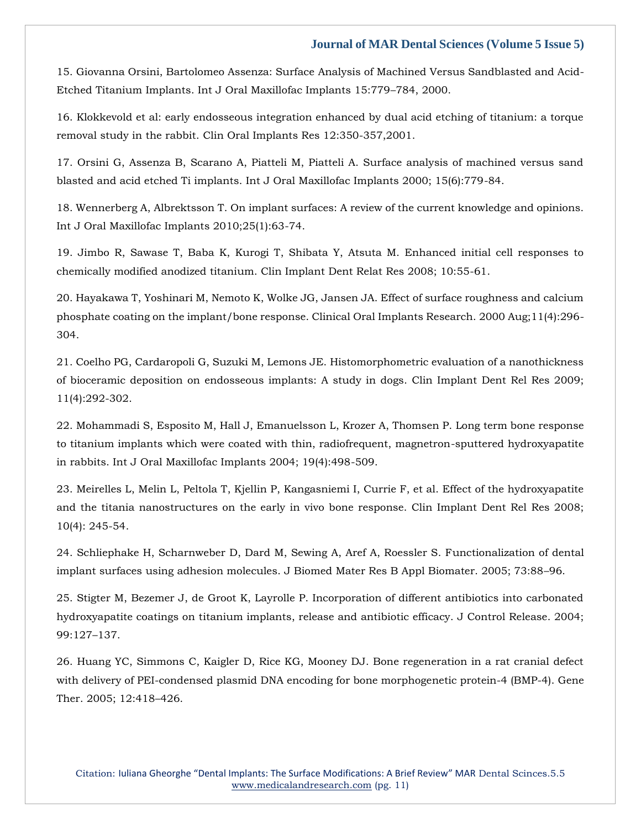[15. Giovanna Orsini, Bartolomeo Assenza: Surface Analysis of Machined Versus Sandblasted and Acid-](https://www.google.com/search?q=Surface+Analysis+of+Machined+Versus+Sandblasted+and+Acid-Etched+Titanium+Implants.+&sxsrf=ALiCzsbwGRV4SVdoX3RGy3xmro5er__gVQ%3A1653721520285&ei=sMmRYq-IC8zgz7sPku61kAs&ved=0ahUKEwivoJLe0IH4AhVM8HMBHRJ3DbIQ4dUDCA4&oq=Surface+Analysis+of+Machined+Versus+Sandblasted+and+Acid-Etched+Titanium+Implants.+&gs_lcp=Cgdnd3Mtd2l6EAwyBggAEB4QFjoHCCMQ6gIQJ0oECEEYAEoECEYYAFDJAljJAmDSBWgBcAB4AIABgAGIAYABkgEDMC4xmAEAoAEBoAECsAEKwAEB&sclient=gws-wiz)[Etched Titanium Implants. Int J Oral Maxillofac Implants 15:779](https://www.google.com/search?q=Surface+Analysis+of+Machined+Versus+Sandblasted+and+Acid-Etched+Titanium+Implants.+&sxsrf=ALiCzsbwGRV4SVdoX3RGy3xmro5er__gVQ%3A1653721520285&ei=sMmRYq-IC8zgz7sPku61kAs&ved=0ahUKEwivoJLe0IH4AhVM8HMBHRJ3DbIQ4dUDCA4&oq=Surface+Analysis+of+Machined+Versus+Sandblasted+and+Acid-Etched+Titanium+Implants.+&gs_lcp=Cgdnd3Mtd2l6EAwyBggAEB4QFjoHCCMQ6gIQJ0oECEEYAEoECEYYAFDJAljJAmDSBWgBcAB4AIABgAGIAYABkgEDMC4xmAEAoAEBoAECsAEKwAEB&sclient=gws-wiz)–784, 2000.

16. Klokkevold et al: early endosseous integration enhanced by dual acid etching of titanium: a torque removal study in the rabbit. Clin Oral Implants Res 12:350-357,2001.

17. Orsini G, Assenza B, Scarano A, Piatteli M, Piatteli A. Surface analysis of machined versus sand blasted and acid etched Ti implants. Int J Oral Maxillofac Implants 2000; 15(6):779-84.

18. Wennerberg A, Albrektsson T. On implant surfaces: A review of the current knowledge and opinions. Int J Oral Maxillofac Implants 2010;25(1):63-74.

19. Jimbo R, Sawase T, Baba K, Kurogi T, Shibata Y, Atsuta M. Enhanced initial cell responses to chemically modified anodized titanium. Clin Implant Dent Relat Res 2008; 10:55-61.

20. Hayakawa T, Yoshinari M, Nemoto K, Wolke JG, Jansen JA. Effect of surface roughness and calcium phosphate coating on the implant/bone response. Clinical Oral Implants Research. 2000 Aug;11(4):296- 304.

21. Coelho PG, Cardaropoli G, Suzuki M, Lemons JE. Histomorphometric evaluation of a nanothickness of bioceramic deposition on endosseous implants: A study in dogs. Clin Implant Dent Rel Res 2009; 11(4):292-302.

22. Mohammadi S, Esposito M, Hall J, Emanuelsson L, Krozer A, Thomsen P. Long term bone response to titanium implants which were coated with thin, radiofrequent, magnetron-sputtered hydroxyapatite in rabbits. Int J Oral Maxillofac Implants 2004; 19(4):498-509.

23. Meirelles L, Melin L, Peltola T, Kjellin P, Kangasniemi I, Currie F, et al. Effect of the hydroxyapatite and the titania nanostructures on the early in vivo bone response. Clin Implant Dent Rel Res 2008; 10(4): 245-54.

24. Schliephake H, Scharnweber D, Dard M, Sewing A, Aref A, Roessler S. Functionalization of dental implant surfaces using adhesion molecules. J Biomed Mater Res B Appl Biomater. 2005; 73:88–96.

25. Stigter M, Bezemer J, de Groot K, Layrolle P. Incorporation of different antibiotics into carbonated hydroxyapatite coatings on titanium implants, release and antibiotic efficacy. J Control Release. 2004; 99:127–137.

26. Huang YC, Simmons C, Kaigler D, Rice KG, Mooney DJ. Bone regeneration in a rat cranial defect with delivery of PEI-condensed plasmid DNA encoding for bone morphogenetic protein-4 (BMP-4). Gene Ther. 2005; 12:418–426.